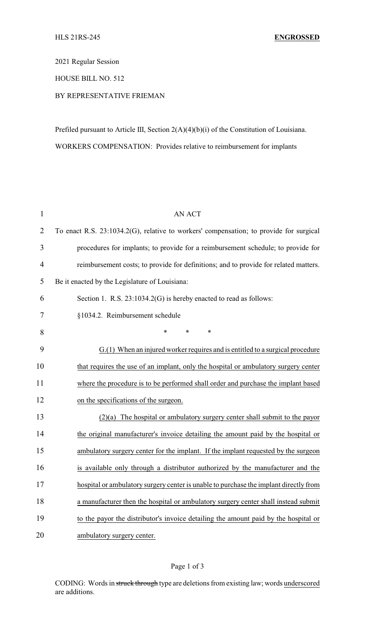2021 Regular Session

HOUSE BILL NO. 512

## BY REPRESENTATIVE FRIEMAN

Prefiled pursuant to Article III, Section 2(A)(4)(b)(i) of the Constitution of Louisiana. WORKERS COMPENSATION: Provides relative to reimbursement for implants

| $\mathbf{1}$   | <b>AN ACT</b>                                                                          |
|----------------|----------------------------------------------------------------------------------------|
| $\overline{2}$ | To enact R.S. 23:1034.2(G), relative to workers' compensation; to provide for surgical |
| 3              | procedures for implants; to provide for a reimbursement schedule; to provide for       |
| 4              | reimbursement costs; to provide for definitions; and to provide for related matters.   |
| 5              | Be it enacted by the Legislature of Louisiana:                                         |
| 6              | Section 1. R.S. 23:1034.2(G) is hereby enacted to read as follows:                     |
| 7              | §1034.2. Reimbursement schedule                                                        |
| 8              | $\ast$<br>*<br>∗                                                                       |
| 9              | G.(1) When an injured worker requires and is entitled to a surgical procedure          |
| 10             | that requires the use of an implant, only the hospital or ambulatory surgery center    |
| 11             | where the procedure is to be performed shall order and purchase the implant based      |
| 12             | on the specifications of the surgeon.                                                  |
| 13             | $(2)(a)$ The hospital or ambulatory surgery center shall submit to the payor           |
| 14             | the original manufacturer's invoice detailing the amount paid by the hospital or       |
| 15             | ambulatory surgery center for the implant. If the implant requested by the surgeon     |
| 16             | is available only through a distributor authorized by the manufacturer and the         |
| 17             | hospital or ambulatory surgery center is unable to purchase the implant directly from  |
| 18             | a manufacturer then the hospital or ambulatory surgery center shall instead submit     |
| 19             | to the payor the distributor's invoice detailing the amount paid by the hospital or    |
| 20             | ambulatory surgery center.                                                             |

CODING: Words in struck through type are deletions from existing law; words underscored are additions.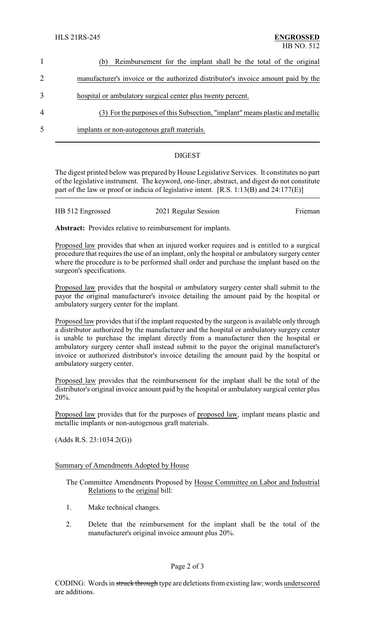|                | Reimbursement for the implant shall be the total of the original<br>(b)           |
|----------------|-----------------------------------------------------------------------------------|
| 2              | manufacturer's invoice or the authorized distributor's invoice amount paid by the |
| 3              | hospital or ambulatory surgical center plus twenty percent.                       |
| $\overline{4}$ | (3) For the purposes of this Subsection, "implant" means plastic and metallic     |
| 5              | implants or non-autogenous graft materials.                                       |
|                |                                                                                   |

## DIGEST

The digest printed below was prepared by House Legislative Services. It constitutes no part of the legislative instrument. The keyword, one-liner, abstract, and digest do not constitute part of the law or proof or indicia of legislative intent. [R.S. 1:13(B) and 24:177(E)]

| HB 512 Engrossed | 2021 Regular Session | Frieman |
|------------------|----------------------|---------|
|                  |                      |         |

**Abstract:** Provides relative to reimbursement for implants.

Proposed law provides that when an injured worker requires and is entitled to a surgical procedure that requires the use of an implant, only the hospital or ambulatory surgery center where the procedure is to be performed shall order and purchase the implant based on the surgeon's specifications.

Proposed law provides that the hospital or ambulatory surgery center shall submit to the payor the original manufacturer's invoice detailing the amount paid by the hospital or ambulatory surgery center for the implant.

Proposed law provides that if the implant requested by the surgeon is available only through a distributor authorized by the manufacturer and the hospital or ambulatory surgery center is unable to purchase the implant directly from a manufacturer then the hospital or ambulatory surgery center shall instead submit to the payor the original manufacturer's invoice or authorized distributor's invoice detailing the amount paid by the hospital or ambulatory surgery center.

Proposed law provides that the reimbursement for the implant shall be the total of the distributor's original invoice amount paid by the hospital or ambulatory surgical center plus 20%.

Proposed law provides that for the purposes of proposed law, implant means plastic and metallic implants or non-autogenous graft materials.

(Adds R.S. 23:1034.2(G))

Summary of Amendments Adopted by House

The Committee Amendments Proposed by House Committee on Labor and Industrial Relations to the original bill:

- 1. Make technical changes.
- 2. Delete that the reimbursement for the implant shall be the total of the manufacturer's original invoice amount plus 20%.